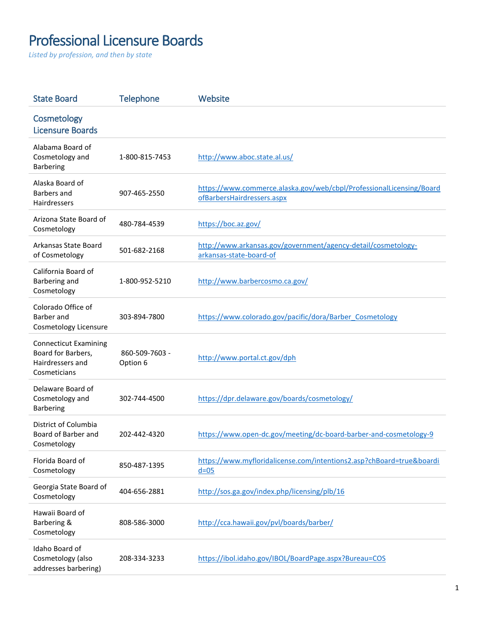## Professional Licensure Boards

*Listed by profession, and then by state*

| <b>State Board</b>                                                                     | <b>Telephone</b>           | Website                                                                                            |
|----------------------------------------------------------------------------------------|----------------------------|----------------------------------------------------------------------------------------------------|
| Cosmetology<br><b>Licensure Boards</b>                                                 |                            |                                                                                                    |
| Alabama Board of<br>Cosmetology and<br><b>Barbering</b>                                | 1-800-815-7453             | http://www.aboc.state.al.us/                                                                       |
| Alaska Board of<br>Barbers and<br>Hairdressers                                         | 907-465-2550               | https://www.commerce.alaska.gov/web/cbpl/ProfessionalLicensing/Board<br>ofBarbersHairdressers.aspx |
| Arizona State Board of<br>Cosmetology                                                  | 480-784-4539               | https://boc.az.gov/                                                                                |
| Arkansas State Board<br>of Cosmetology                                                 | 501-682-2168               | http://www.arkansas.gov/government/agency-detail/cosmetology-<br>arkansas-state-board-of           |
| California Board of<br>Barbering and<br>Cosmetology                                    | 1-800-952-5210             | http://www.barbercosmo.ca.gov/                                                                     |
| Colorado Office of<br>Barber and<br>Cosmetology Licensure                              | 303-894-7800               | https://www.colorado.gov/pacific/dora/Barber Cosmetology                                           |
| <b>Connecticut Examining</b><br>Board for Barbers,<br>Hairdressers and<br>Cosmeticians | 860-509-7603 -<br>Option 6 | http://www.portal.ct.gov/dph                                                                       |
| Delaware Board of<br>Cosmetology and<br><b>Barbering</b>                               | 302-744-4500               | https://dpr.delaware.gov/boards/cosmetology/                                                       |
| District of Columbia<br>Board of Barber and<br>Cosmetology                             | 202-442-4320               | https://www.open-dc.gov/meeting/dc-board-barber-and-cosmetology-9                                  |
| Florida Board of<br>Cosmetology                                                        | 850-487-1395               | https://www.myfloridalicense.com/intentions2.asp?chBoard=true&boardi<br>$d = 05$                   |
| Georgia State Board of<br>Cosmetology                                                  | 404-656-2881               | http://sos.ga.gov/index.php/licensing/plb/16                                                       |
| Hawaii Board of<br>Barbering &<br>Cosmetology                                          | 808-586-3000               | http://cca.hawaii.gov/pvl/boards/barber/                                                           |
| Idaho Board of<br>Cosmetology (also<br>addresses barbering)                            | 208-334-3233               | https://ibol.idaho.gov/IBOL/BoardPage.aspx?Bureau=COS                                              |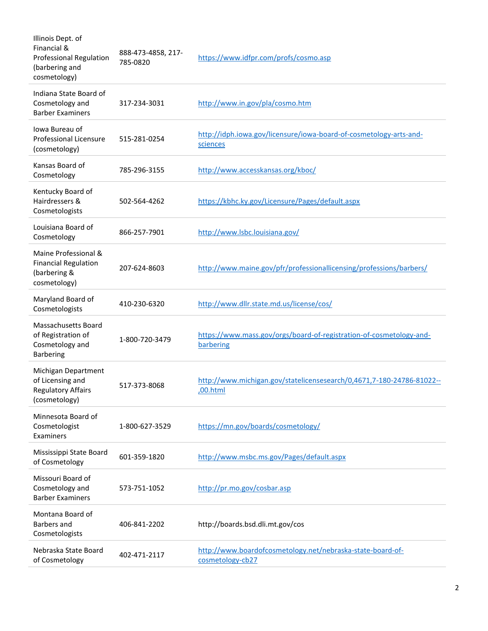| Illinois Dept. of<br>Financial &<br><b>Professional Regulation</b><br>(barbering and<br>cosmetology) | 888-473-4858, 217-<br>785-0820 | https://www.idfpr.com/profs/cosmo.asp                                             |
|------------------------------------------------------------------------------------------------------|--------------------------------|-----------------------------------------------------------------------------------|
| Indiana State Board of<br>Cosmetology and<br><b>Barber Examiners</b>                                 | 317-234-3031                   | http://www.in.gov/pla/cosmo.htm                                                   |
| Iowa Bureau of<br><b>Professional Licensure</b><br>(cosmetology)                                     | 515-281-0254                   | http://idph.iowa.gov/licensure/iowa-board-of-cosmetology-arts-and-<br>sciences    |
| Kansas Board of<br>Cosmetology                                                                       | 785-296-3155                   | http://www.accesskansas.org/kboc/                                                 |
| Kentucky Board of<br>Hairdressers &<br>Cosmetologists                                                | 502-564-4262                   | https://kbhc.ky.gov/Licensure/Pages/default.aspx                                  |
| Louisiana Board of<br>Cosmetology                                                                    | 866-257-7901                   | http://www.lsbc.louisiana.gov/                                                    |
| Maine Professional &<br><b>Financial Regulation</b><br>(barbering &<br>cosmetology)                  | 207-624-8603                   | http://www.maine.gov/pfr/professionallicensing/professions/barbers/               |
| Maryland Board of<br>Cosmetologists                                                                  | 410-230-6320                   | http://www.dllr.state.md.us/license/cos/                                          |
| Massachusetts Board<br>of Registration of<br>Cosmetology and<br><b>Barbering</b>                     | 1-800-720-3479                 | https://www.mass.gov/orgs/board-of-registration-of-cosmetology-and-<br>barbering  |
| Michigan Department<br>of Licensing and<br><b>Regulatory Affairs</b><br>(cosmetology)                | 517-373-8068                   | http://www.michigan.gov/statelicensesearch/0,4671,7-180-24786-81022--<br>,00.html |
| Minnesota Board of<br>Cosmetologist<br>Examiners                                                     | 1-800-627-3529                 | https://mn.gov/boards/cosmetology/                                                |
| Mississippi State Board<br>of Cosmetology                                                            | 601-359-1820                   | http://www.msbc.ms.gov/Pages/default.aspx                                         |
| Missouri Board of<br>Cosmetology and<br><b>Barber Examiners</b>                                      | 573-751-1052                   | http://pr.mo.gov/cosbar.asp                                                       |
| Montana Board of<br>Barbers and<br>Cosmetologists                                                    | 406-841-2202                   | http://boards.bsd.dli.mt.gov/cos                                                  |
| Nebraska State Board<br>of Cosmetology                                                               | 402-471-2117                   | http://www.boardofcosmetology.net/nebraska-state-board-of-<br>cosmetology-cb27    |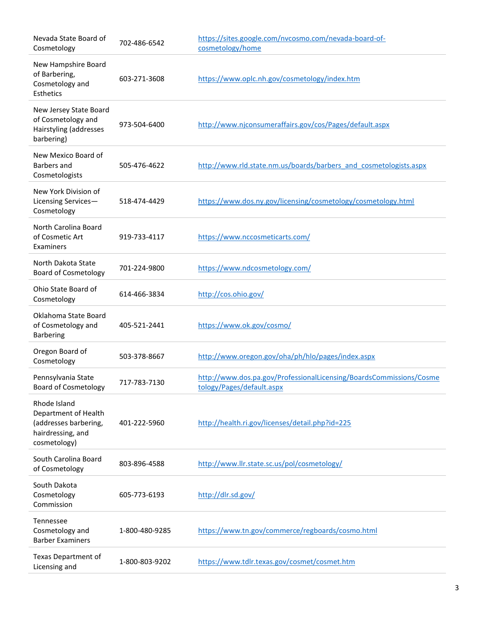| Nevada State Board of<br>Cosmetology                                                               | 702-486-6542   | https://sites.google.com/nvcosmo.com/nevada-board-of-<br>cosmetology/home                        |
|----------------------------------------------------------------------------------------------------|----------------|--------------------------------------------------------------------------------------------------|
| New Hampshire Board<br>of Barbering,<br>Cosmetology and<br>Esthetics                               | 603-271-3608   | https://www.oplc.nh.gov/cosmetology/index.htm                                                    |
| New Jersey State Board<br>of Cosmetology and<br>Hairstyling (addresses<br>barbering)               | 973-504-6400   | http://www.njconsumeraffairs.gov/cos/Pages/default.aspx                                          |
| New Mexico Board of<br>Barbers and<br>Cosmetologists                                               | 505-476-4622   | http://www.rld.state.nm.us/boards/barbers and cosmetologists.aspx                                |
| New York Division of<br>Licensing Services-<br>Cosmetology                                         | 518-474-4429   | https://www.dos.ny.gov/licensing/cosmetology/cosmetology.html                                    |
| North Carolina Board<br>of Cosmetic Art<br>Examiners                                               | 919-733-4117   | https://www.nccosmeticarts.com/                                                                  |
| North Dakota State<br><b>Board of Cosmetology</b>                                                  | 701-224-9800   | https://www.ndcosmetology.com/                                                                   |
| Ohio State Board of<br>Cosmetology                                                                 | 614-466-3834   | http://cos.ohio.gov/                                                                             |
| Oklahoma State Board<br>of Cosmetology and<br><b>Barbering</b>                                     | 405-521-2441   | https://www.ok.gov/cosmo/                                                                        |
| Oregon Board of<br>Cosmetology                                                                     | 503-378-8667   | http://www.oregon.gov/oha/ph/hlo/pages/index.aspx                                                |
| Pennsylvania State<br><b>Board of Cosmetology</b>                                                  | 717-783-7130   | http://www.dos.pa.gov/ProfessionalLicensing/BoardsCommissions/Cosme<br>tology/Pages/default.aspx |
| Rhode Island<br>Department of Health<br>(addresses barbering,<br>hairdressing, and<br>cosmetology) | 401-222-5960   | http://health.ri.gov/licenses/detail.php?id=225                                                  |
| South Carolina Board<br>of Cosmetology                                                             | 803-896-4588   | http://www.llr.state.sc.us/pol/cosmetology/                                                      |
| South Dakota<br>Cosmetology<br>Commission                                                          | 605-773-6193   | http://dlr.sd.gov/                                                                               |
| Tennessee<br>Cosmetology and<br><b>Barber Examiners</b>                                            | 1-800-480-9285 | https://www.tn.gov/commerce/regboards/cosmo.html                                                 |
| Texas Department of<br>Licensing and                                                               | 1-800-803-9202 | https://www.tdlr.texas.gov/cosmet/cosmet.htm                                                     |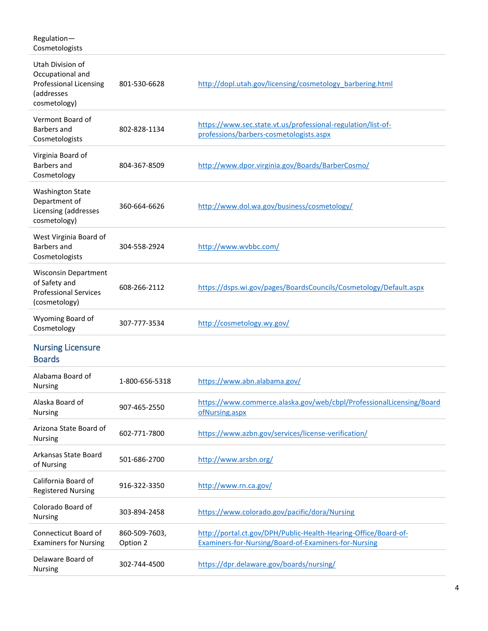| Regulation-<br>Cosmetologists                                                                       |                           |                                                                                                                         |
|-----------------------------------------------------------------------------------------------------|---------------------------|-------------------------------------------------------------------------------------------------------------------------|
| Utah Division of<br>Occupational and<br><b>Professional Licensing</b><br>(addresses<br>cosmetology) | 801-530-6628              | http://dopl.utah.gov/licensing/cosmetology_barbering.html                                                               |
| Vermont Board of<br>Barbers and<br>Cosmetologists                                                   | 802-828-1134              | https://www.sec.state.vt.us/professional-regulation/list-of-<br>professions/barbers-cosmetologists.aspx                 |
| Virginia Board of<br>Barbers and<br>Cosmetology                                                     | 804-367-8509              | http://www.dpor.virginia.gov/Boards/BarberCosmo/                                                                        |
| <b>Washington State</b><br>Department of<br>Licensing (addresses<br>cosmetology)                    | 360-664-6626              | http://www.dol.wa.gov/business/cosmetology/                                                                             |
| West Virginia Board of<br>Barbers and<br>Cosmetologists                                             | 304-558-2924              | http://www.wvbbc.com/                                                                                                   |
| <b>Wisconsin Department</b><br>of Safety and<br><b>Professional Services</b><br>(cosmetology)       | 608-266-2112              | https://dsps.wi.gov/pages/BoardsCouncils/Cosmetology/Default.aspx                                                       |
| Wyoming Board of<br>Cosmetology                                                                     | 307-777-3534              | http://cosmetology.wy.gov/                                                                                              |
| <b>Nursing Licensure</b><br><b>Boards</b>                                                           |                           |                                                                                                                         |
| Alabama Board of<br><b>Nursing</b>                                                                  | 1-800-656-5318            | https://www.abn.alabama.gov/                                                                                            |
| Alaska Board of<br><b>Nursing</b>                                                                   | 907-465-2550              | https://www.commerce.alaska.gov/web/cbpl/ProfessionalLicensing/Board<br>ofNursing.aspx                                  |
| Arizona State Board of<br>Nursing                                                                   | 602-771-7800              | https://www.azbn.gov/services/license-verification/                                                                     |
| Arkansas State Board<br>of Nursing                                                                  | 501-686-2700              | http://www.arsbn.org/                                                                                                   |
| California Board of<br><b>Registered Nursing</b>                                                    | 916-322-3350              | http://www.rn.ca.gov/                                                                                                   |
| Colorado Board of<br><b>Nursing</b>                                                                 | 303-894-2458              | https://www.colorado.gov/pacific/dora/Nursing                                                                           |
| Connecticut Board of<br><b>Examiners for Nursing</b>                                                | 860-509-7603,<br>Option 2 | http://portal.ct.gov/DPH/Public-Health-Hearing-Office/Board-of-<br>Examiners-for-Nursing/Board-of-Examiners-for-Nursing |
| Delaware Board of<br><b>Nursing</b>                                                                 | 302-744-4500              | https://dpr.delaware.gov/boards/nursing/                                                                                |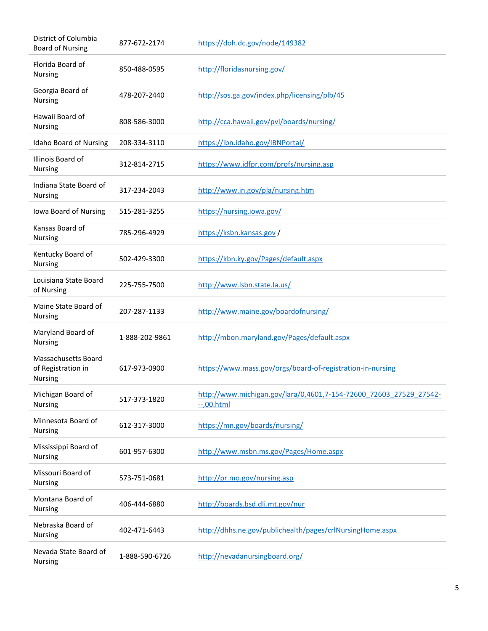| District of Columbia<br><b>Board of Nursing</b>                    | 877-672-2174   | https://doh.dc.gov/node/149382                                                      |
|--------------------------------------------------------------------|----------------|-------------------------------------------------------------------------------------|
| Florida Board of<br>Nursing                                        | 850-488-0595   | http://floridasnursing.gov/                                                         |
| Georgia Board of<br><b>Nursing</b>                                 | 478-207-2440   | http://sos.ga.gov/index.php/licensing/plb/45                                        |
| Hawaii Board of<br><b>Nursing</b>                                  | 808-586-3000   | http://cca.hawaii.gov/pvl/boards/nursing/                                           |
| Idaho Board of Nursing                                             | 208-334-3110   | https://ibn.idaho.gov/IBNPortal/                                                    |
| Illinois Board of<br>Nursing                                       | 312-814-2715   | https://www.idfpr.com/profs/nursing.asp                                             |
| Indiana State Board of<br><b>Nursing</b>                           | 317-234-2043   | http://www.in.gov/pla/nursing.htm                                                   |
| Iowa Board of Nursing                                              | 515-281-3255   | https://nursing.iowa.gov/                                                           |
| Kansas Board of<br><b>Nursing</b>                                  | 785-296-4929   | https://ksbn.kansas.gov/                                                            |
| Kentucky Board of<br>Nursing                                       | 502-429-3300   | https://kbn.ky.gov/Pages/default.aspx                                               |
| Louisiana State Board<br>of Nursing                                | 225-755-7500   | http://www.lsbn.state.la.us/                                                        |
| Maine State Board of<br><b>Nursing</b>                             | 207-287-1133   | http://www.maine.gov/boardofnursing/                                                |
| Maryland Board of<br><b>Nursing</b>                                | 1-888-202-9861 | http://mbon.maryland.gov/Pages/default.aspx                                         |
| <b>Massachusetts Board</b><br>of Registration in<br><b>Nursing</b> | 617-973-0900   | https://www.mass.gov/orgs/board-of-registration-in-nursing                          |
| Michigan Board of<br><b>Nursing</b>                                | 517-373-1820   | http://www.michigan.gov/lara/0,4601,7-154-72600 72603 27529 27542-<br>$-0.00$ .html |
| Minnesota Board of<br><b>Nursing</b>                               | 612-317-3000   | https://mn.gov/boards/nursing/                                                      |
| Mississippi Board of<br><b>Nursing</b>                             | 601-957-6300   | http://www.msbn.ms.gov/Pages/Home.aspx                                              |
| Missouri Board of<br><b>Nursing</b>                                | 573-751-0681   | http://pr.mo.gov/nursing.asp                                                        |
| Montana Board of<br>Nursing                                        | 406-444-6880   | http://boards.bsd.dli.mt.gov/nur                                                    |
| Nebraska Board of<br>Nursing                                       | 402-471-6443   | http://dhhs.ne.gov/publichealth/pages/crlNursingHome.aspx                           |
| Nevada State Board of<br><b>Nursing</b>                            | 1-888-590-6726 | http://nevadanursingboard.org/                                                      |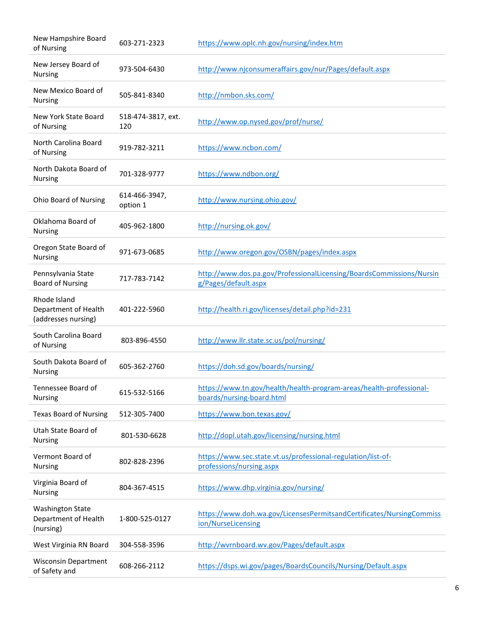| New Hampshire Board<br>of Nursing                            | 603-271-2323              | https://www.oplc.nh.gov/nursing/index.htm                                                        |
|--------------------------------------------------------------|---------------------------|--------------------------------------------------------------------------------------------------|
| New Jersey Board of<br><b>Nursing</b>                        | 973-504-6430              | http://www.njconsumeraffairs.gov/nur/Pages/default.aspx                                          |
| New Mexico Board of<br><b>Nursing</b>                        | 505-841-8340              | http://nmbon.sks.com/                                                                            |
| New York State Board<br>of Nursing                           | 518-474-3817, ext.<br>120 | http://www.op.nysed.gov/prof/nurse/                                                              |
| North Carolina Board<br>of Nursing                           | 919-782-3211              | https://www.ncbon.com/                                                                           |
| North Dakota Board of<br><b>Nursing</b>                      | 701-328-9777              | https://www.ndbon.org/                                                                           |
| <b>Ohio Board of Nursing</b>                                 | 614-466-3947,<br>option 1 | http://www.nursing.ohio.gov/                                                                     |
| Oklahoma Board of<br>Nursing                                 | 405-962-1800              | http://nursing.ok.gov/                                                                           |
| Oregon State Board of<br><b>Nursing</b>                      | 971-673-0685              | http://www.oregon.gov/OSBN/pages/index.aspx                                                      |
| Pennsylvania State<br><b>Board of Nursing</b>                | 717-783-7142              | http://www.dos.pa.gov/ProfessionalLicensing/BoardsCommissions/Nursin<br>g/Pages/default.aspx     |
| Rhode Island<br>Department of Health<br>(addresses nursing)  | 401-222-5960              | http://health.ri.gov/licenses/detail.php?id=231                                                  |
| South Carolina Board<br>of Nursing                           | 803-896-4550              | http://www.llr.state.sc.us/pol/nursing/                                                          |
| South Dakota Board of<br><b>Nursing</b>                      | 605-362-2760              | https://doh.sd.gov/boards/nursing/                                                               |
| Tennessee Board of<br><b>Nursing</b>                         | 615-532-5166              | https://www.tn.gov/health/health-program-areas/health-professional-<br>boards/nursing-board.html |
| <b>Texas Board of Nursing</b>                                | 512-305-7400              | https://www.bon.texas.gov/                                                                       |
| Utah State Board of<br>Nursing                               | 801-530-6628              | http://dopl.utah.gov/licensing/nursing.html                                                      |
| Vermont Board of<br><b>Nursing</b>                           | 802-828-2396              | https://www.sec.state.vt.us/professional-regulation/list-of-<br>professions/nursing.aspx         |
| Virginia Board of<br><b>Nursing</b>                          | 804-367-4515              | https://www.dhp.virginia.gov/nursing/                                                            |
| <b>Washington State</b><br>Department of Health<br>(nursing) | 1-800-525-0127            | https://www.doh.wa.gov/LicensesPermitsandCertificates/NursingCommiss<br>ion/NurseLicensing       |
| West Virginia RN Board                                       | 304-558-3596              | http://wvrnboard.wv.gov/Pages/default.aspx                                                       |
| <b>Wisconsin Department</b><br>of Safety and                 | 608-266-2112              | https://dsps.wi.gov/pages/BoardsCouncils/Nursing/Default.aspx                                    |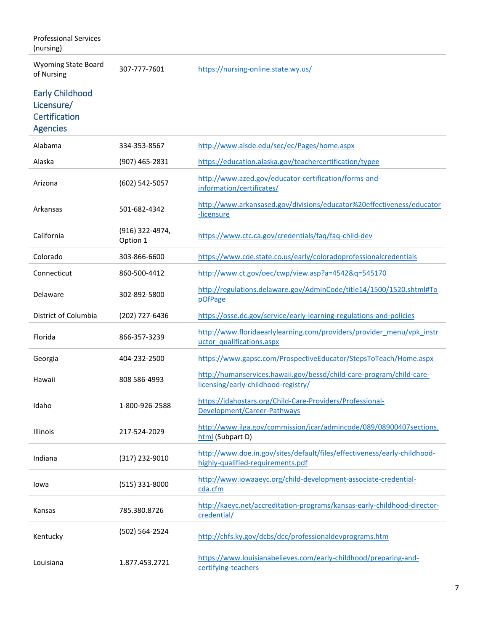Professional Services (nursing)

Wyoming State Board<br>of Nursing

307-777-7601 <https://nursing-online.state.wy.us/>

Early Childhood Licensure/ **Certification** 

## Agencies

| Alabama              | 334-353-8567                | http://www.alsde.edu/sec/ec/Pages/home.aspx                                                                   |
|----------------------|-----------------------------|---------------------------------------------------------------------------------------------------------------|
| Alaska               | (907) 465-2831              | https://education.alaska.gov/teachercertification/typee                                                       |
| Arizona              | (602) 542-5057              | http://www.azed.gov/educator-certification/forms-and-<br>information/certificates/                            |
| Arkansas             | 501-682-4342                | http://www.arkansased.gov/divisions/educator%20effectiveness/educator<br>-licensure                           |
| California           | (916) 322-4974,<br>Option 1 | https://www.ctc.ca.gov/credentials/faq/faq-child-dev                                                          |
| Colorado             | 303-866-6600                | https://www.cde.state.co.us/early/coloradoprofessionalcredentials                                             |
| Connecticut          | 860-500-4412                | http://www.ct.gov/oec/cwp/view.asp?a=4542&q=545170                                                            |
| Delaware             | 302-892-5800                | http://regulations.delaware.gov/AdminCode/title14/1500/1520.shtml#To<br>pOfPage                               |
| District of Columbia | (202) 727-6436              | https://osse.dc.gov/service/early-learning-regulations-and-policies                                           |
| Florida              | 866-357-3239                | http://www.floridaearlylearning.com/providers/provider_menu/vpk_instr<br>uctor qualifications.aspx            |
| Georgia              | 404-232-2500                | https://www.gapsc.com/ProspectiveEducator/StepsToTeach/Home.aspx                                              |
| Hawaii               | 808 586-4993                | http://humanservices.hawaii.gov/bessd/child-care-program/child-care-<br>licensing/early-childhood-registry/   |
| Idaho                | 1-800-926-2588              | https://idahostars.org/Child-Care-Providers/Professional-<br>Development/Career-Pathways                      |
| <b>Illinois</b>      | 217-524-2029                | http://www.ilga.gov/commission/jcar/admincode/089/08900407sections.<br>html (Subpart D)                       |
| Indiana              | (317) 232-9010              | http://www.doe.in.gov/sites/default/files/effectiveness/early-childhood-<br>highly-qualified-requirements.pdf |
| Iowa                 | (515) 331-8000              | http://www.iowaaeyc.org/child-development-associate-credential-<br>cda.cfm                                    |
| Kansas               | 785.380.8726                | http://kaeyc.net/accreditation-programs/kansas-early-childhood-director-<br>credential/                       |
| Kentucky             | (502) 564-2524              | http://chfs.ky.gov/dcbs/dcc/professionaldevprograms.htm                                                       |
| Louisiana            | 1.877.453.2721              | https://www.louisianabelieves.com/early-childhood/preparing-and-<br>certifying-teachers                       |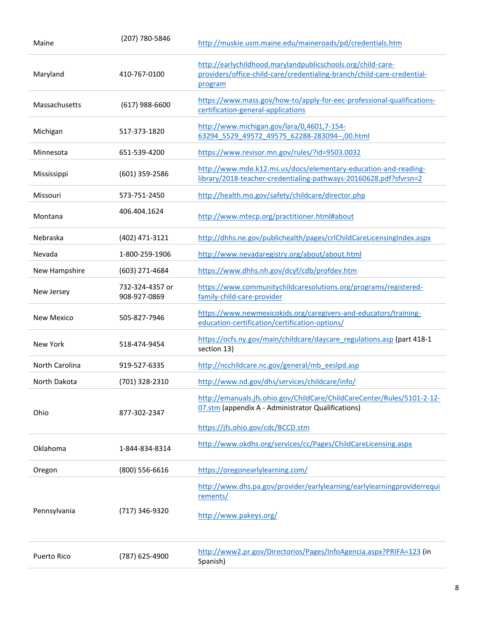| Maine                 | (207) 780-5846                  | http://muskie.usm.maine.edu/maineroads/pd/credentials.htm                                                                                         |
|-----------------------|---------------------------------|---------------------------------------------------------------------------------------------------------------------------------------------------|
| Maryland              | 410-767-0100                    | http://earlychildhood.marylandpublicschools.org/child-care-<br>providers/office-child-care/credentialing-branch/child-care-credential-<br>program |
| Massachusetts         | $(617)$ 988-6600                | https://www.mass.gov/how-to/apply-for-eec-professional-qualifications-<br>certification-general-applications                                      |
| Michigan              | 517-373-1820                    | http://www.michigan.gov/lara/0,4601,7-154-<br>63294 5529 49572 49575 62288-283094--,00.html                                                       |
| Minnesota             | 651-539-4200                    | https://www.revisor.mn.gov/rules/?id=9503.0032                                                                                                    |
| Mississippi           | (601) 359-2586                  | http://www.mde.k12.ms.us/docs/elementary-education-and-reading-<br>library/2018-teacher-credentialing-pathways-20160628.pdf?sfvrsn=2              |
| Missouri              | 573-751-2450                    | http://health.mo.gov/safety/childcare/director.php                                                                                                |
| Montana               | 406.404.1624                    | http://www.mtecp.org/practitioner.html#about                                                                                                      |
| Nebraska              | (402) 471-3121                  | http://dhhs.ne.gov/publichealth/pages/crlChildCareLicensingIndex.aspx                                                                             |
| Nevada                | 1-800-259-1906                  | http://www.nevadaregistry.org/about/about.html                                                                                                    |
| New Hampshire         | (603) 271-4684                  | https://www.dhhs.nh.gov/dcyf/cdb/profdev.htm                                                                                                      |
| New Jersey            | 732-324-4357 or<br>908-927-0869 | https://www.communitychildcaresolutions.org/programs/registered-<br>family-child-care-provider                                                    |
| New Mexico            | 505-827-7946                    | https://www.newmexicokids.org/caregivers-and-educators/training-<br>education-certification/certification-options/                                |
| New York              | 518-474-9454                    | https://ocfs.ny.gov/main/childcare/daycare regulations.asp (part 418-1<br>section 13)                                                             |
| <b>North Carolina</b> | 919-527-6335                    | http://ncchildcare.nc.gov/general/mb eeslpd.asp                                                                                                   |
| North Dakota          | (701) 328-2310                  | http://www.nd.gov/dhs/services/childcare/info/                                                                                                    |
| Ohio                  | 877-302-2347                    | http://emanuals.jfs.ohio.gov/ChildCare/ChildCareCenter/Rules/5101-2-12-<br>07.stm (appendix A - Administrator Qualifications)                     |
|                       |                                 | https://jfs.ohio.gov/cdc/BCCD.stm                                                                                                                 |
| Oklahoma              | 1-844-834-8314                  | http://www.okdhs.org/services/cc/Pages/ChildCareLicensing.aspx                                                                                    |
| Oregon                | (800) 556-6616                  | https://oregonearlylearning.com/                                                                                                                  |
|                       |                                 | http://www.dhs.pa.gov/provider/earlylearning/earlylearningproviderrequi<br>rements/                                                               |
| Pennsylvania          | (717) 346-9320                  | http://www.pakeys.org/                                                                                                                            |
| Puerto Rico           | (787) 625-4900                  | http://www2.pr.gov/Directorios/Pages/InfoAgencia.aspx?PRIFA=123 (in<br>Spanish)                                                                   |